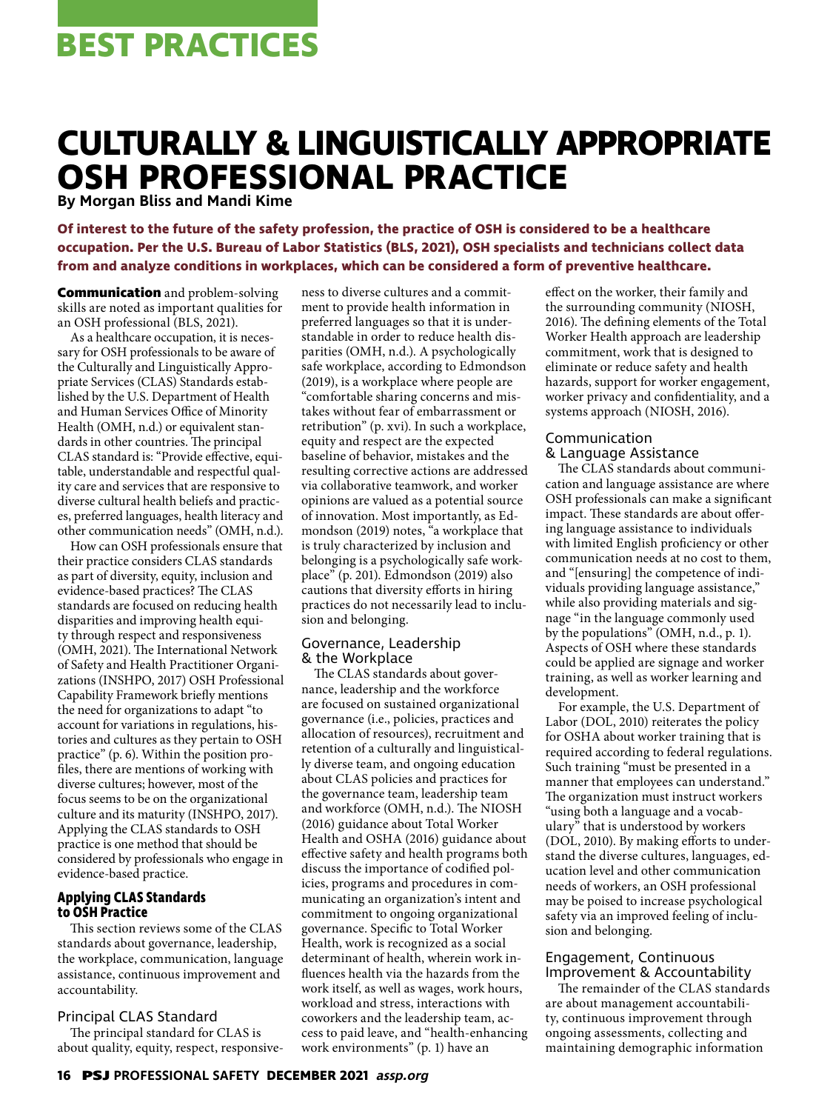# **CULTURALLY & LINGUISTICALLY APPROPRIATE OSH PROFESSIONAL PRACTICE**

**By Morgan Bliss and Mandi Kime**

**Of interest to the future of the safety profession, the practice of OSH is considered to be a healthcare occupation. Per the U.S. Bureau of Labor Statistics (BLS, 2021), OSH specialists and technicians collect data from and analyze conditions in workplaces, which can be considered a form of preventive healthcare.** 

**Communication** and problem-solving skills are noted as important qualities for an OSH professional (BLS, 2021).

As a healthcare occupation, it is necessary for OSH professionals to be aware of the Culturally and Linguistically Appropriate Services (CLAS) Standards established by the U.S. Department of Health and Human Services Office of Minority Health (OMH, n.d.) or equivalent standards in other countries. The principal CLAS standard is: "Provide effective, equitable, understandable and respectful quality care and services that are responsive to diverse cultural health beliefs and practices, preferred languages, health literacy and other communication needs" (OMH, n.d.).

How can OSH professionals ensure that their practice considers CLAS standards as part of diversity, equity, inclusion and evidence-based practices? The CLAS standards are focused on reducing health disparities and improving health equity through respect and responsiveness (OMH, 2021). The International Network of Safety and Health Practitioner Organizations (INSHPO, 2017) OSH Professional Capability Framework briefly mentions the need for organizations to adapt "to account for variations in regulations, histories and cultures as they pertain to OSH practice" (p. 6). Within the position profiles, there are mentions of working with diverse cultures; however, most of the focus seems to be on the organizational culture and its maturity (INSHPO, 2017). Applying the CLAS standards to OSH practice is one method that should be considered by professionals who engage in evidence-based practice.

## **Applying CLAS Standards to OSH Practice**

This section reviews some of the CLAS standards about governance, leadership, the workplace, communication, language assistance, continuous improvement and accountability.

# Principal CLAS Standard

The principal standard for CLAS is about quality, equity, respect, responsiveness to diverse cultures and a commitment to provide health information in preferred languages so that it is understandable in order to reduce health disparities (OMH, n.d.). A psychologically safe workplace, according to Edmondson (2019), is a workplace where people are "comfortable sharing concerns and mistakes without fear of embarrassment or retribution" (p. xvi). In such a workplace, equity and respect are the expected baseline of behavior, mistakes and the resulting corrective actions are addressed via collaborative teamwork, and worker opinions are valued as a potential source of innovation. Most importantly, as Edmondson (2019) notes, "a workplace that is truly characterized by inclusion and belonging is a psychologically safe workplace" (p. 201). Edmondson (2019) also cautions that diversity efforts in hiring practices do not necessarily lead to inclusion and belonging.

#### Governance, Leadership & the Workplace

The CLAS standards about governance, leadership and the workforce are focused on sustained organizational governance (i.e., policies, practices and allocation of resources), recruitment and retention of a culturally and linguistically diverse team, and ongoing education about CLAS policies and practices for the governance team, leadership team and workforce (OMH, n.d.). The NIOSH (2016) guidance about Total Worker Health and OSHA (2016) guidance about effective safety and health programs both discuss the importance of codified policies, programs and procedures in communicating an organization's intent and commitment to ongoing organizational governance. Specific to Total Worker Health, work is recognized as a social determinant of health, wherein work influences health via the hazards from the work itself, as well as wages, work hours, workload and stress, interactions with coworkers and the leadership team, access to paid leave, and "health-enhancing work environments" (p. 1) have an

effect on the worker, their family and the surrounding community (NIOSH, 2016). The defining elements of the Total Worker Health approach are leadership commitment, work that is designed to eliminate or reduce safety and health hazards, support for worker engagement, worker privacy and confidentiality, and a systems approach (NIOSH, 2016).

# Communication & Language Assistance

The CLAS standards about communication and language assistance are where OSH professionals can make a significant impact. These standards are about offering language assistance to individuals with limited English proficiency or other communication needs at no cost to them, and "[ensuring] the competence of individuals providing language assistance," while also providing materials and signage "in the language commonly used by the populations" (OMH, n.d., p. 1). Aspects of OSH where these standards could be applied are signage and worker training, as well as worker learning and development.

For example, the U.S. Department of Labor (DOL, 2010) reiterates the policy for OSHA about worker training that is required according to federal regulations. Such training "must be presented in a manner that employees can understand." The organization must instruct workers "using both a language and a vocabulary" that is understood by workers (DOL, 2010). By making efforts to understand the diverse cultures, languages, education level and other communication needs of workers, an OSH professional may be poised to increase psychological safety via an improved feeling of inclusion and belonging.

#### Engagement, Continuous Improvement & Accountability

The remainder of the CLAS standards are about management accountability, continuous improvement through ongoing assessments, collecting and maintaining demographic information